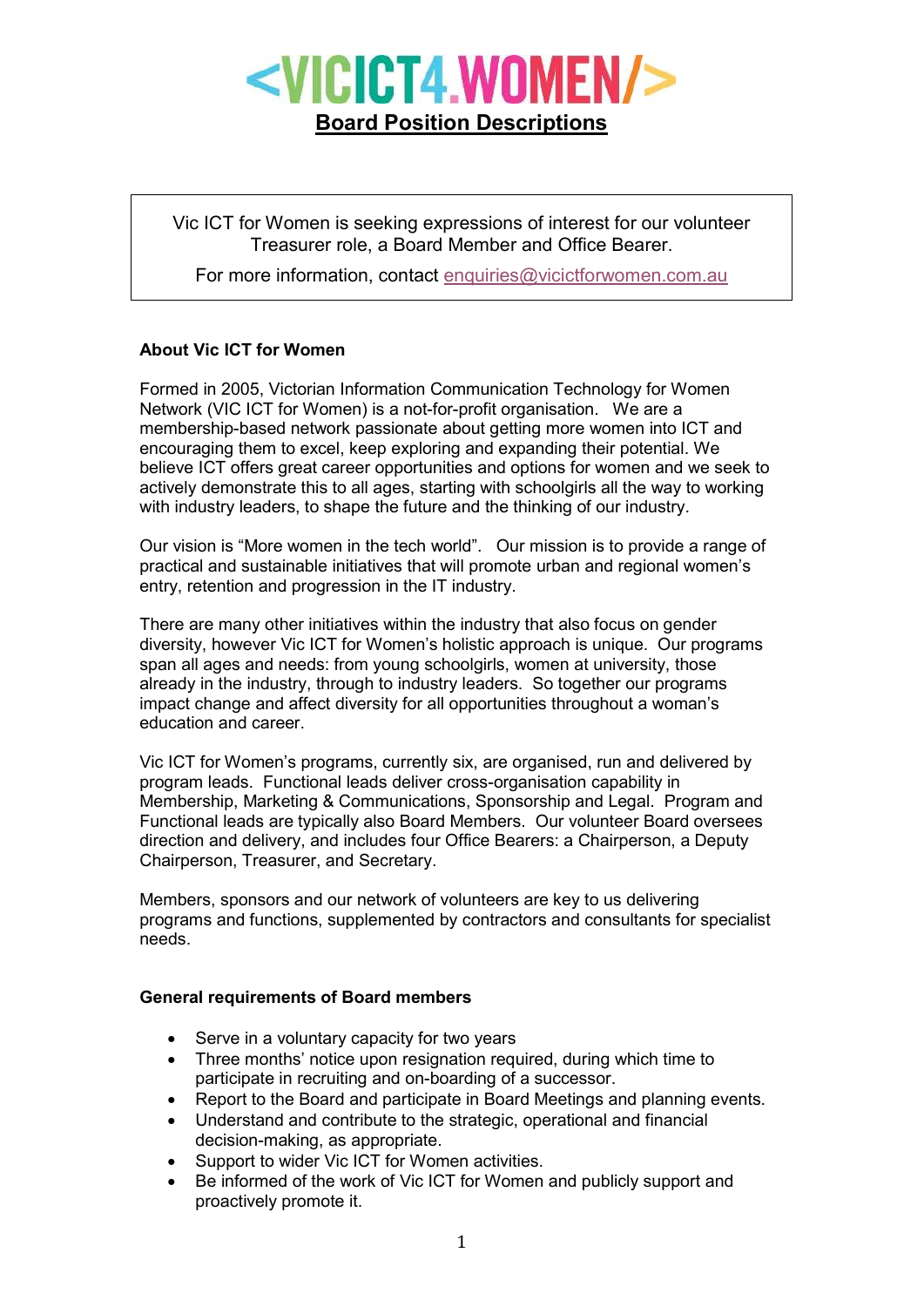

Vic ICT for Women is seeking expressions of interest for our volunteer Treasurer role, a Board Member and Office Bearer.

For more information, contact enquiries@vicictforwomen.com.au

## About Vic ICT for Women

Formed in 2005, Victorian Information Communication Technology for Women Network (VIC ICT for Women) is a not-for-profit organisation. We are a membership-based network passionate about getting more women into ICT and encouraging them to excel, keep exploring and expanding their potential. We believe ICT offers great career opportunities and options for women and we seek to actively demonstrate this to all ages, starting with schoolgirls all the way to working with industry leaders, to shape the future and the thinking of our industry.

Our vision is "More women in the tech world". Our mission is to provide a range of practical and sustainable initiatives that will promote urban and regional women's entry, retention and progression in the IT industry.

There are many other initiatives within the industry that also focus on gender diversity, however Vic ICT for Women's holistic approach is unique. Our programs span all ages and needs: from young schoolgirls, women at university, those already in the industry, through to industry leaders. So together our programs impact change and affect diversity for all opportunities throughout a woman's education and career.

Vic ICT for Women's programs, currently six, are organised, run and delivered by program leads. Functional leads deliver cross-organisation capability in Membership, Marketing & Communications, Sponsorship and Legal. Program and Functional leads are typically also Board Members. Our volunteer Board oversees direction and delivery, and includes four Office Bearers: a Chairperson, a Deputy Chairperson, Treasurer, and Secretary.

Members, sponsors and our network of volunteers are key to us delivering programs and functions, supplemented by contractors and consultants for specialist needs.

## General requirements of Board members

- Serve in a voluntary capacity for two years
- Three months' notice upon resignation required, during which time to participate in recruiting and on-boarding of a successor.
- Report to the Board and participate in Board Meetings and planning events.
- Understand and contribute to the strategic, operational and financial decision-making, as appropriate.
- Support to wider Vic ICT for Women activities.
- Be informed of the work of Vic ICT for Women and publicly support and proactively promote it.